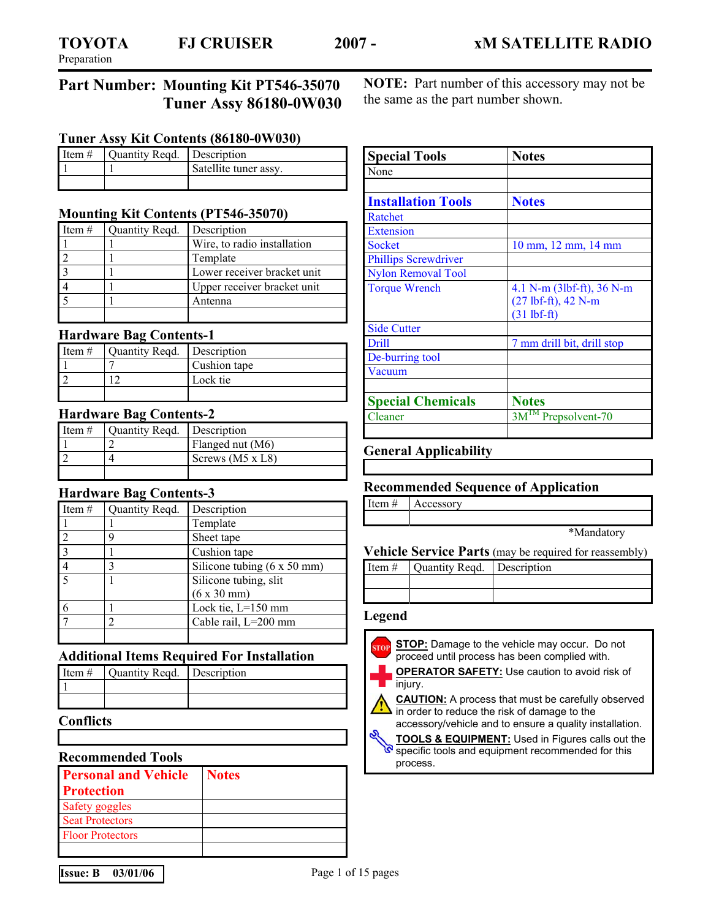# **Part Number: Mounting Kit PT546-35070 Tuner Assy 86180-0W030**

**Tuner Assy Kit Contents (86180-0W030)** 

| I Item $#$ | Ouantity Read. Description |                       |
|------------|----------------------------|-----------------------|
|            |                            | Satellite tuner assy. |
|            |                            |                       |

# **Mounting Kit Contents (PT546-35070)**

| Item $#$ | Quantity Reqd. | Description                 |
|----------|----------------|-----------------------------|
|          |                | Wire, to radio installation |
|          |                | Template                    |
|          |                | Lower receiver bracket unit |
|          |                | Upper receiver bracket unit |
|          |                | Antenna                     |
|          |                |                             |

#### **Hardware Bag Contents-1**

| Item $#$ | Quantity Regd. | Description  |
|----------|----------------|--------------|
|          |                | Cushion tape |
|          |                | Lock tie     |
|          |                |              |

#### **Hardware Bag Contents-2**

| I Item $#$ | Quantity Regd.   Description |                         |
|------------|------------------------------|-------------------------|
|            |                              | Flanged nut (M6)        |
|            |                              | Screws $(M5 \times L8)$ |
|            |                              |                         |

#### **Hardware Bag Contents-3**

| Item $#$       | Quantity Regd. | Description                                |
|----------------|----------------|--------------------------------------------|
|                |                | Template                                   |
|                | Q              | Sheet tape                                 |
| $\overline{3}$ |                | Cushion tape                               |
|                |                | Silicone tubing $(6 \times 50 \text{ mm})$ |
|                |                | Silicone tubing, slit                      |
|                |                | $(6 \times 30 \text{ mm})$                 |
| 6              |                | Lock tie, L=150 mm                         |
|                |                | Cable rail, L=200 mm                       |
|                |                |                                            |

#### **Additional Items Required For Installation**

| Item $\#$ Quantity Regd. Description |  |
|--------------------------------------|--|
|                                      |  |
|                                      |  |

**Conflicts** 

#### **Recommended Tools**

| <b>Personal and Vehicle</b> | <b>Notes</b> |
|-----------------------------|--------------|
| <b>Protection</b>           |              |
| Safety goggles              |              |
| <b>Seat Protectors</b>      |              |
| <b>Floor Protectors</b>     |              |
|                             |              |

**NOTE:** Part number of this accessory may not be the same as the part number shown.

| <b>Special Tools</b>        | <b>Notes</b>                                                                  |  |
|-----------------------------|-------------------------------------------------------------------------------|--|
| None                        |                                                                               |  |
|                             |                                                                               |  |
| <b>Installation Tools</b>   | <b>Notes</b>                                                                  |  |
| <b>Ratchet</b>              |                                                                               |  |
| <b>Extension</b>            |                                                                               |  |
| <b>Socket</b>               | 10 mm, 12 mm, 14 mm                                                           |  |
| <b>Phillips Screwdriver</b> |                                                                               |  |
| <b>Nylon Removal Tool</b>   |                                                                               |  |
| <b>Torque Wrench</b>        | 4.1 N-m (3lbf-ft), 36 N-m<br>$(27 \text{ lbf-ft})$ , 42 N-m<br>$(31)$ lbf-ft) |  |
| <b>Side Cutter</b>          |                                                                               |  |
| Drill                       | 7 mm drill bit, drill stop                                                    |  |
| De-burring tool             |                                                                               |  |
| Vacuum                      |                                                                               |  |
| <b>Special Chemicals</b>    | <b>Notes</b>                                                                  |  |
| Cleaner                     | 3M™ Prepsolvent-70                                                            |  |

#### **General Applicability**

#### **Recommended Sequence of Application**

Item # Accessory

\*Mandatory

#### **Vehicle Service Parts** (may be required for reassembly)

| Item $\#$   Quantity Reqd.   Description |  |
|------------------------------------------|--|
|                                          |  |
|                                          |  |

#### **Legend**

**STOP:** Damage to the vehicle may occur. Do not proceed until process has been complied with. injury.

**OPERATOR SAFETY:** Use caution to avoid risk of

**CAUTION:** A process that must be carefully observed in order to reduce the risk of damage to the accessory/vehicle and to ensure a quality installation.

**TOOLS & EQUIPMENT:** Used in Figures calls out the specific tools and equipment recommended for this process.

**Issue: B** 03/01/06 **Page 1 of 15 pages**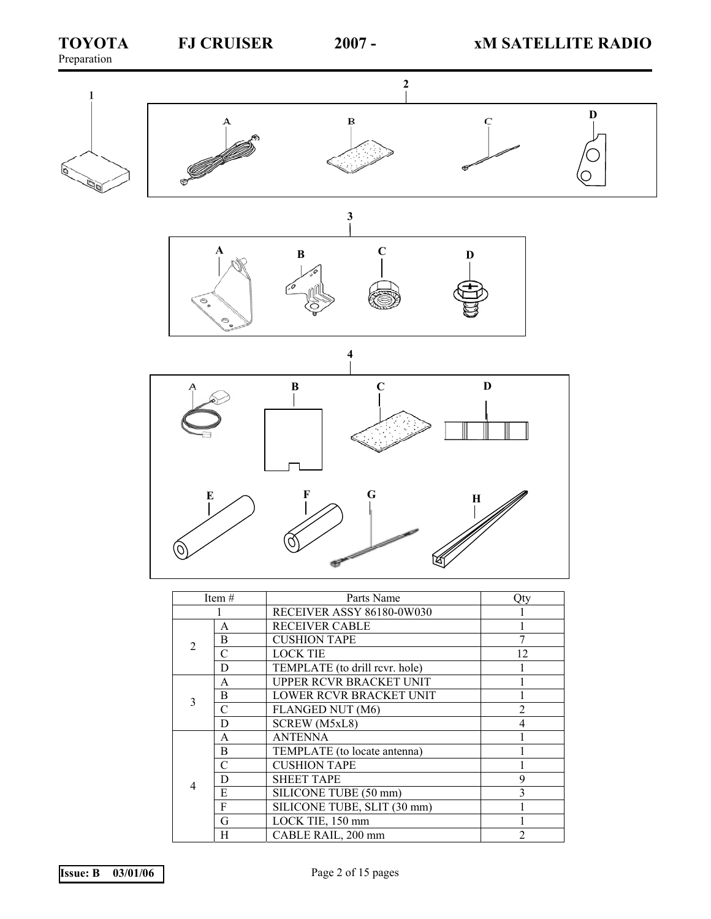

| Item $#$                    |               | Parts Name                     | Otv            |
|-----------------------------|---------------|--------------------------------|----------------|
|                             |               | RECEIVER ASSY 86180-0W030      |                |
|                             | A             | <b>RECEIVER CABLE</b>          |                |
| $\mathcal{D}_{\mathcal{L}}$ | B             | <b>CUSHION TAPE</b>            |                |
|                             | C             | <b>LOCK TIE</b>                | 12             |
|                             | D             | TEMPLATE (to drill revr. hole) |                |
|                             | A             | UPPER RCVR BRACKET UNIT        |                |
| 3                           | B             | LOWER RCVR BRACKET UNIT        |                |
|                             | $\mathcal{C}$ | FLANGED NUT (M6)               | $\mathfrak{D}$ |
|                             | D             | SCREW (M5xL8)                  | 4              |
|                             | A             | <b>ANTENNA</b>                 |                |
|                             | B             | TEMPLATE (to locate antenna)   |                |
|                             | C             | <b>CUSHION TAPE</b>            |                |
| 4                           | D             | <b>SHEET TAPE</b>              | 9              |
|                             | E             | SILICONE TUBE (50 mm)          | 3              |
|                             | F             | SILICONE TUBE, SLIT (30 mm)    |                |
|                             | G             | LOCK TIE, 150 mm               |                |
|                             | H             | CABLE RAIL, 200 mm             | $\overline{2}$ |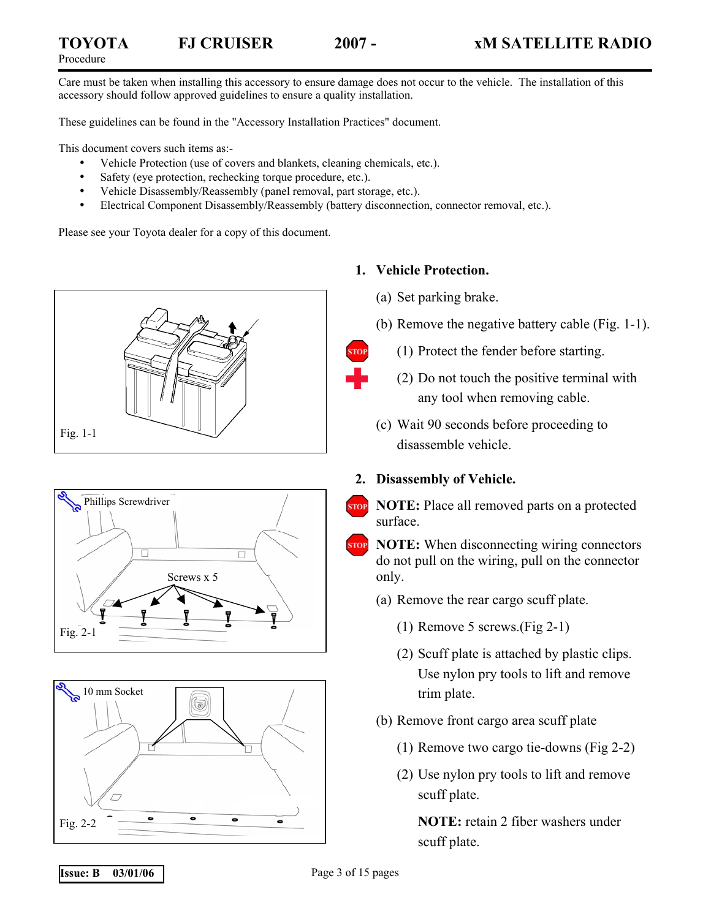Care must be taken when installing this accessory to ensure damage does not occur to the vehicle. The installation of this accessory should follow approved guidelines to ensure a quality installation.

These guidelines can be found in the "Accessory Installation Practices" document.

This document covers such items as:-

- Vehicle Protection (use of covers and blankets, cleaning chemicals, etc.).
- Safety (eye protection, rechecking torque procedure, etc.).
- Vehicle Disassembly/Reassembly (panel removal, part storage, etc.).
- Electrical Component Disassembly/Reassembly (battery disconnection, connector removal, etc.).

Please see your Toyota dealer for a copy of this document.







### **1. Vehicle Protection.**

- (a) Set parking brake.
- (b) Remove the negative battery cable (Fig. 1-1).
- (1) Protect the fender before starting.
- (2) Do not touch the positive terminal with any tool when removing cable.
- (c) Wait 90 seconds before proceeding to disassemble vehicle.

# **2. Disassembly of Vehicle.**

**NOTE:** Place all removed parts on a protected surface.



- (a) Remove the rear cargo scuff plate.
	- (1) Remove 5 screws.(Fig 2-1)
	- (2) Scuff plate is attached by plastic clips. Use nylon pry tools to lift and remove trim plate.
- (b) Remove front cargo area scuff plate
	- (1) Remove two cargo tie-downs (Fig 2-2)
	- (2) Use nylon pry tools to lift and remove scuff plate.

**NOTE:** retain 2 fiber washers under scuff plate.

**Issue: B** 03/01/06 **Page 3 of 15 pages**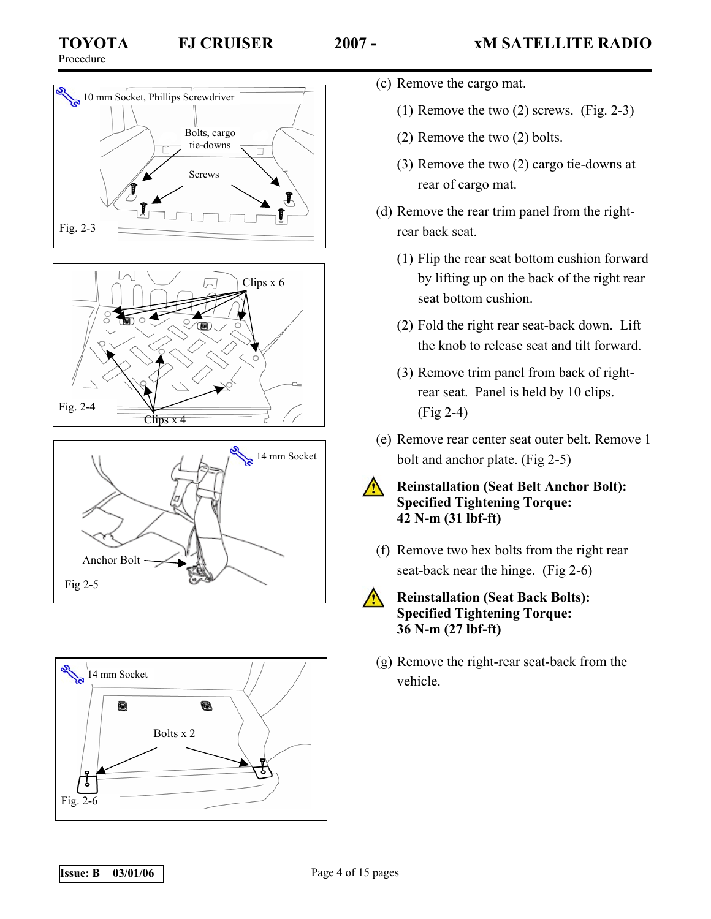

Fig. 2-3



Screws

 $\sim$ 

Clips x 6

 $\Box$ 

Bolts, cargo tie-downs





- (c) Remove the cargo mat.
	- (1) Remove the two (2) screws. (Fig. 2-3)
	- (2) Remove the two (2) bolts.
	- (3) Remove the two (2) cargo tie-downs at rear of cargo mat.
	- (d) Remove the rear trim panel from the rightrear back seat.
		- (1) Flip the rear seat bottom cushion forward by lifting up on the back of the right rear seat bottom cushion.
		- (2) Fold the right rear seat-back down. Lift the knob to release seat and tilt forward.
		- (3) Remove trim panel from back of rightrear seat. Panel is held by 10 clips. (Fig 2-4)
	- (e) Remove rear center seat outer belt. Remove 1 bolt and anchor plate. (Fig 2-5)
		- **Reinstallation (Seat Belt Anchor Bolt): Specified Tightening Torque: 42 N-m (31 lbf-ft)**
	- (f) Remove two hex bolts from the right rear seat-back near the hinge. (Fig 2-6)



 $\sqrt{N}$ 

# **Reinstallation (Seat Back Bolts): Specified Tightening Torque: 36 N-m (27 lbf-ft)**

(g) Remove the right-rear seat-back from the vehicle.

 $\approx 10$  mm Socket, Phillips Screwdriver

П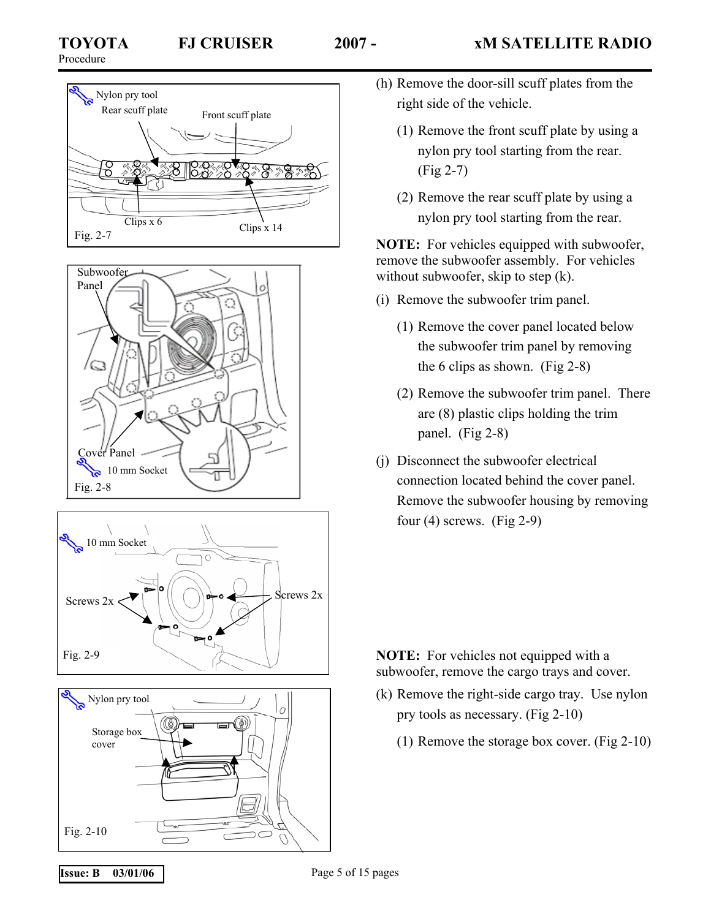







- (h) Remove the door-sill scuff plates from the right side of the vehicle.
	- (1) Remove the front scuff plate by using a nylon pry tool starting from the rear. (Fig 2-7)
	- (2) Remove the rear scuff plate by using a nylon pry tool starting from the rear.

**NOTE:** For vehicles equipped with subwoofer, remove the subwoofer assembly. For vehicles without subwoofer, skip to step (k).

- (i) Remove the subwoofer trim panel.
	- (1) Remove the cover panel located below the subwoofer trim panel by removing the 6 clips as shown. (Fig 2-8)
	- (2) Remove the subwoofer trim panel. There are (8) plastic clips holding the trim panel. (Fig 2-8)
- (j) Disconnect the subwoofer electrical connection located behind the cover panel. Remove the subwoofer housing by removing four  $(4)$  screws.  $(Fig 2-9)$

**NOTE:** For vehicles not equipped with a subwoofer, remove the cargo trays and cover.

- (k) Remove the right-side cargo tray. Use nylon pry tools as necessary. (Fig 2-10)
	- (1) Remove the storage box cover. (Fig 2-10)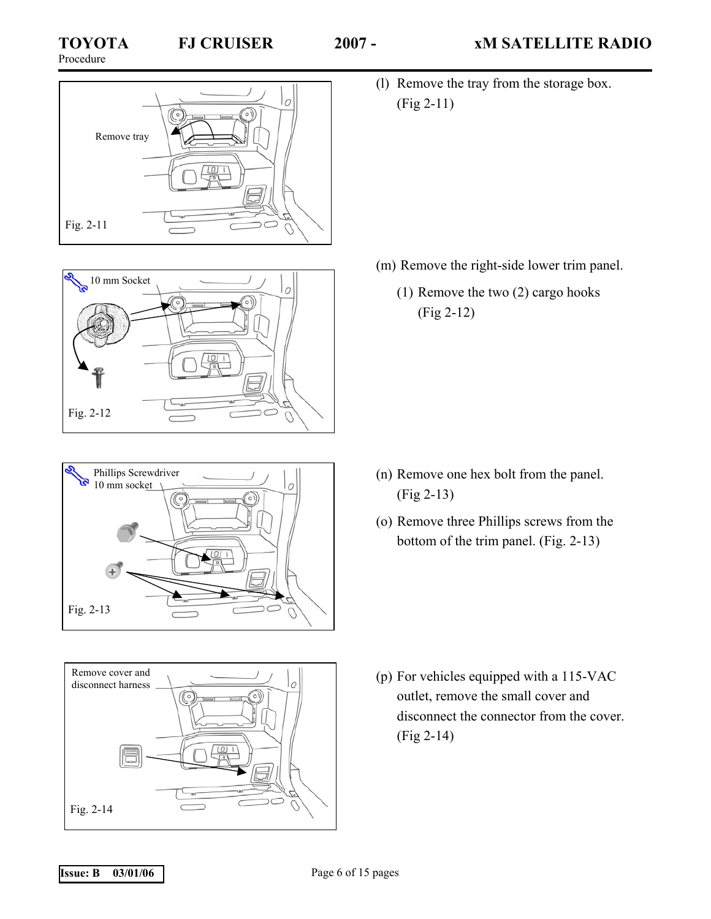# Procedure









(l) Remove the tray from the storage box. (Fig 2-11)

- (m) Remove the right-side lower trim panel.
	- (1) Remove the two (2) cargo hooks (Fig 2-12)

- (n) Remove one hex bolt from the panel. (Fig 2-13)
- (o) Remove three Phillips screws from the bottom of the trim panel. (Fig. 2-13)

(p) For vehicles equipped with a 115-VAC outlet, remove the small cover and disconnect the connector from the cover. (Fig 2-14)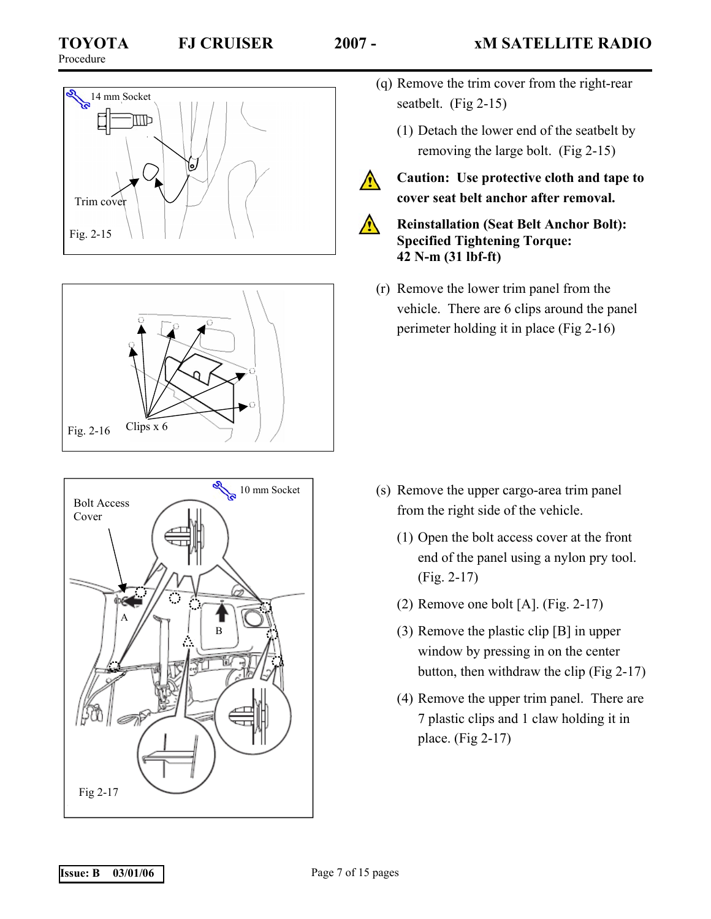$\wedge$ 







- (q) Remove the trim cover from the right-rear seatbelt. (Fig 2-15)
	- (1) Detach the lower end of the seatbelt by removing the large bolt. (Fig 2-15)
- **Caution: Use protective cloth and tape to cover seat belt anchor after removal.**
- **Reinstallation (Seat Belt Anchor Bolt): Specified Tightening Torque: 42 N-m (31 lbf-ft)**
- (r) Remove the lower trim panel from the vehicle. There are 6 clips around the panel perimeter holding it in place (Fig 2-16)

- (s) Remove the upper cargo-area trim panel from the right side of the vehicle.
	- (1) Open the bolt access cover at the front end of the panel using a nylon pry tool. (Fig. 2-17)
	- (2) Remove one bolt [A]. (Fig. 2-17)
	- (3) Remove the plastic clip [B] in upper window by pressing in on the center button, then withdraw the clip (Fig 2-17)
	- (4) Remove the upper trim panel. There are 7 plastic clips and 1 claw holding it in place. (Fig 2-17)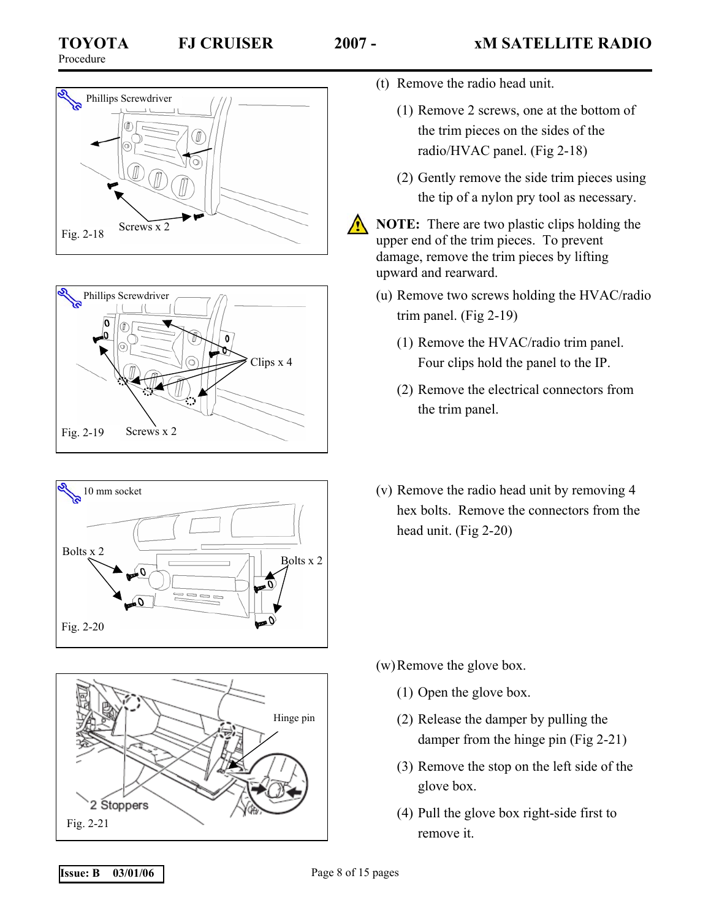







- (t) Remove the radio head unit.
	- (1) Remove 2 screws, one at the bottom of the trim pieces on the sides of the radio/HVAC panel. (Fig 2-18)
	- (2) Gently remove the side trim pieces using the tip of a nylon pry tool as necessary.

**NOTE:** There are two plastic clips holding the upper end of the trim pieces. To prevent damage, remove the trim pieces by lifting upward and rearward.

- (u) Remove two screws holding the HVAC/radio trim panel. (Fig 2-19)
	- (1) Remove the HVAC/radio trim panel. Four clips hold the panel to the IP.
	- (2) Remove the electrical connectors from the trim panel.
- (v) Remove the radio head unit by removing 4 hex bolts. Remove the connectors from the head unit. (Fig 2-20)

- (w) Remove the glove box.
	- (1) Open the glove box.
	- (2) Release the damper by pulling the damper from the hinge pin (Fig 2-21)
	- (3) Remove the stop on the left side of the glove box.
	- (4) Pull the glove box right-side first to

#### **Issue: B** 03/01/06 **Page 8 of 15 pages**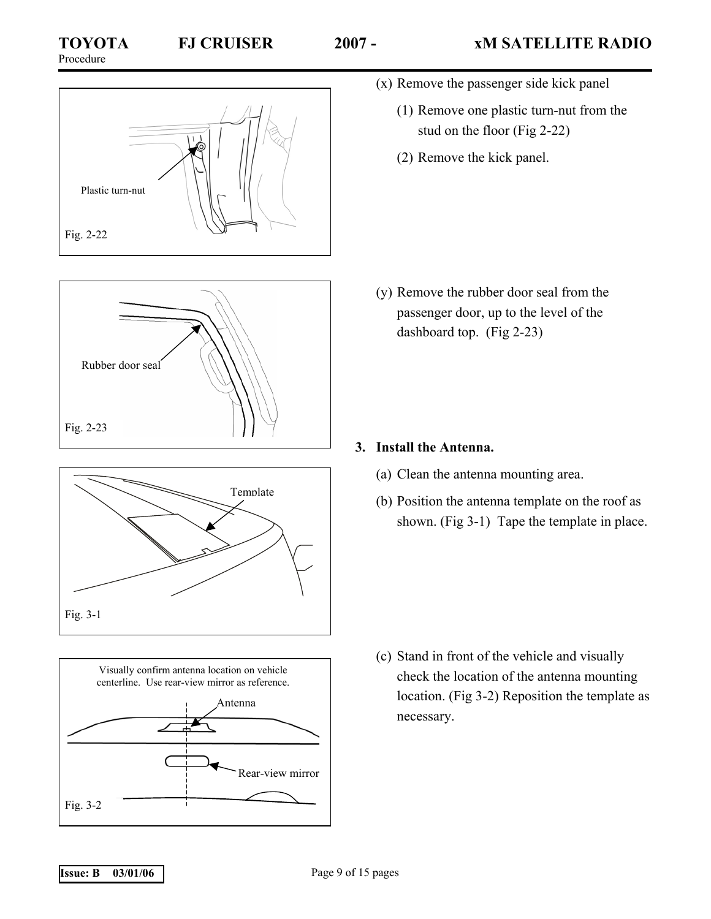









- (x) Remove the passenger side kick panel
	- (1) Remove one plastic turn-nut from the stud on the floor (Fig 2-22)
	- (2) Remove the kick panel.

(y) Remove the rubber door seal from the passenger door, up to the level of the dashboard top. (Fig 2-23)

# **3. Install the Antenna.**

- (a) Clean the antenna mounting area.
- (b) Position the antenna template on the roof as shown. (Fig 3-1) Tape the template in place.

(c) Stand in front of the vehicle and visually check the location of the antenna mounting location. (Fig 3-2) Reposition the template as necessary.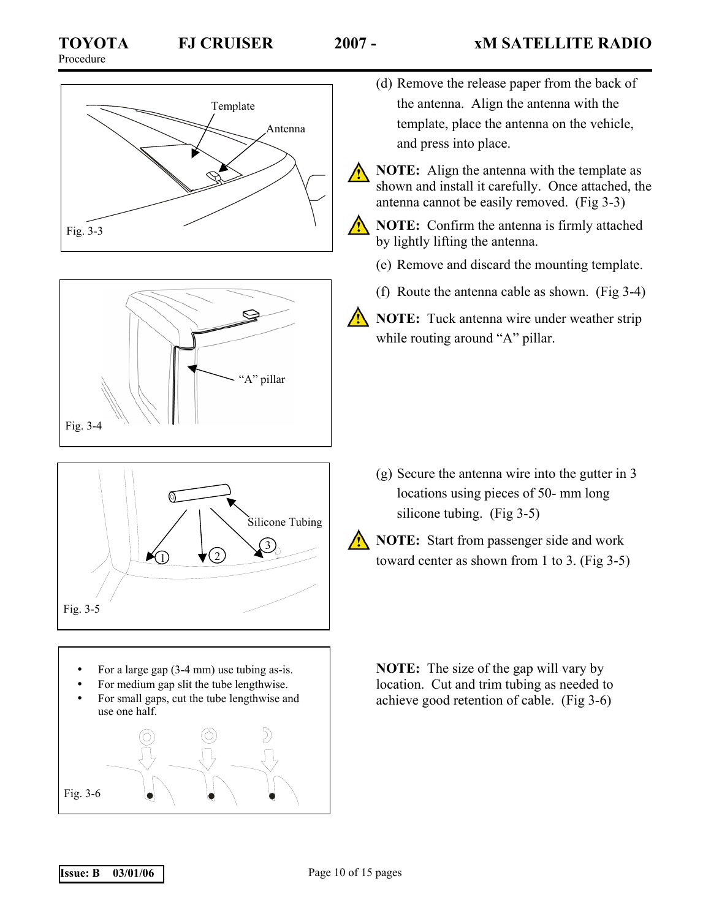





- For a large gap (3-4 mm) use tubing as-is.
- For medium gap slit the tube lengthwise.
- For small gaps, cut the tube lengthwise and use one half.



- (d) Remove the release paper from the back of the antenna. Align the antenna with the template, place the antenna on the vehicle, and press into place.
- **NOTE:** Align the antenna with the template as shown and install it carefully. Once attached, the antenna cannot be easily removed. (Fig 3-3)
- **NOTE:** Confirm the antenna is firmly attached by lightly lifting the antenna.
	- (e) Remove and discard the mounting template.
	- (f) Route the antenna cable as shown. (Fig 3-4)
- **NOTE:** Tuck antenna wire under weather strip while routing around "A" pillar.

- (g) Secure the antenna wire into the gutter in 3 locations using pieces of 50- mm long silicone tubing. (Fig 3-5)
- **NOTE:** Start from passenger side and work toward center as shown from 1 to 3. (Fig 3-5)

**NOTE:** The size of the gap will vary by location. Cut and trim tubing as needed to achieve good retention of cable. (Fig 3-6)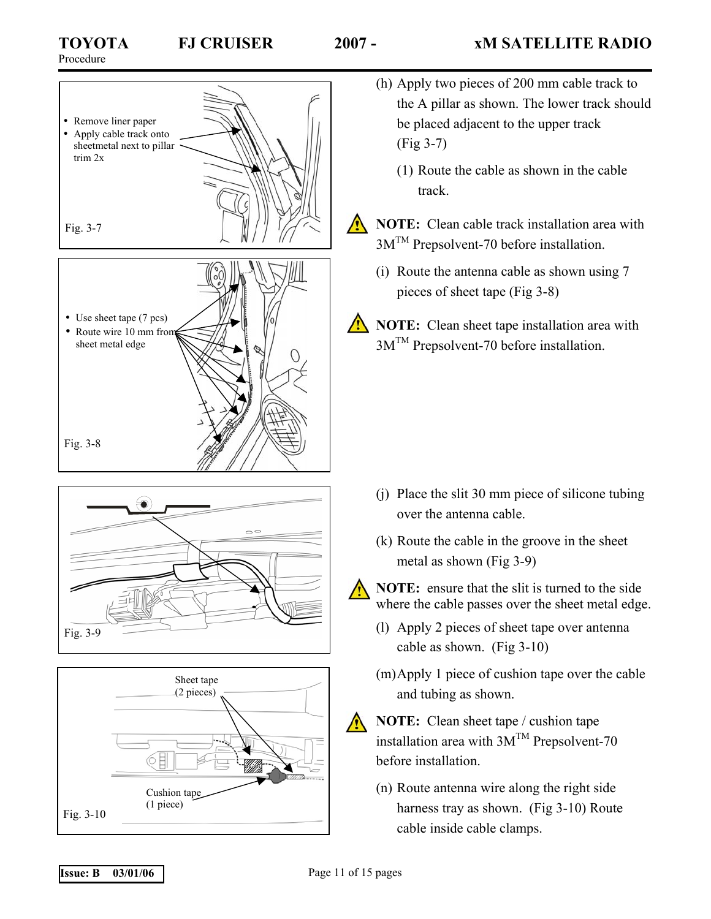





- (h) Apply two pieces of 200 mm cable track to the A pillar as shown. The lower track should be placed adjacent to the upper track (Fig 3-7)
	- (1) Route the cable as shown in the cable track.
- **NOTE:** Clean cable track installation area with 3MTM Prepsolvent-70 before installation.
	- (i) Route the antenna cable as shown using 7 pieces of sheet tape (Fig 3-8)
- **NOTE:** Clean sheet tape installation area with 3MTM Prepsolvent-70 before installation.

- (j) Place the slit 30 mm piece of silicone tubing over the antenna cable.
- (k) Route the cable in the groove in the sheet metal as shown (Fig 3-9)



**NOTE:** ensure that the slit is turned to the side where the cable passes over the sheet metal edge.

- (l) Apply 2 pieces of sheet tape over antenna cable as shown. (Fig 3-10)
- (m) Apply 1 piece of cushion tape over the cable and tubing as shown.



**NOTE:** Clean sheet tape / cushion tape installation area with  $3M^{TM}$  Prepsolvent-70 before installation.

(n) Route antenna wire along the right side harness tray as shown. (Fig 3-10) Route cable inside cable clamps.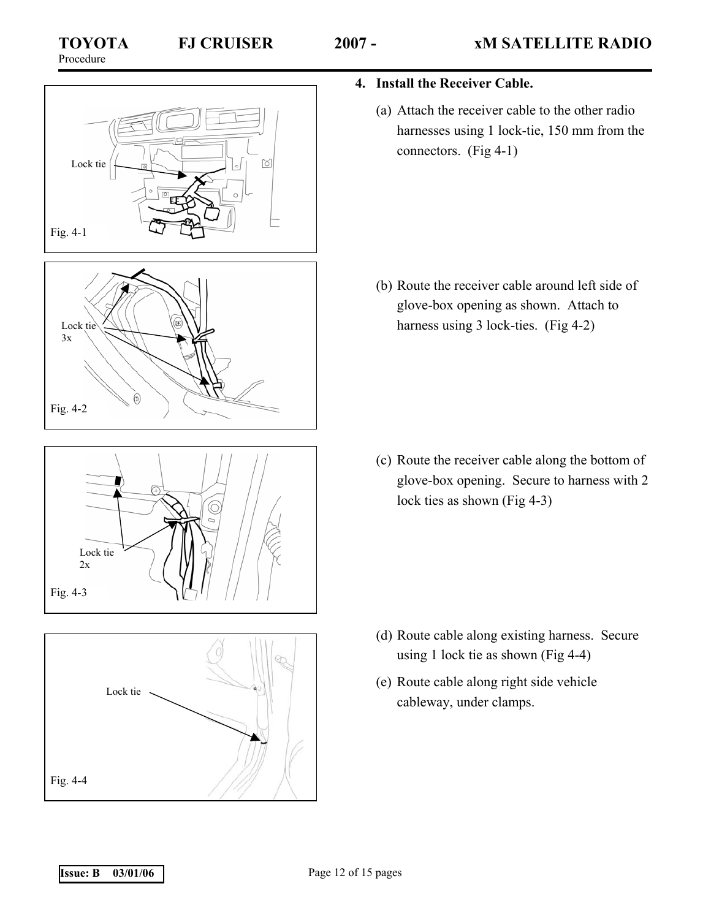







- **4. Install the Receiver Cable.** 
	- (a) Attach the receiver cable to the other radio harnesses using 1 lock-tie, 150 mm from the connectors. (Fig 4-1)

(b) Route the receiver cable around left side of glove-box opening as shown. Attach to harness using 3 lock-ties. (Fig 4-2)

(c) Route the receiver cable along the bottom of glove-box opening. Secure to harness with 2 lock ties as shown (Fig 4-3)

- (d) Route cable along existing harness. Secure using 1 lock tie as shown (Fig 4-4)
- (e) Route cable along right side vehicle cableway, under clamps.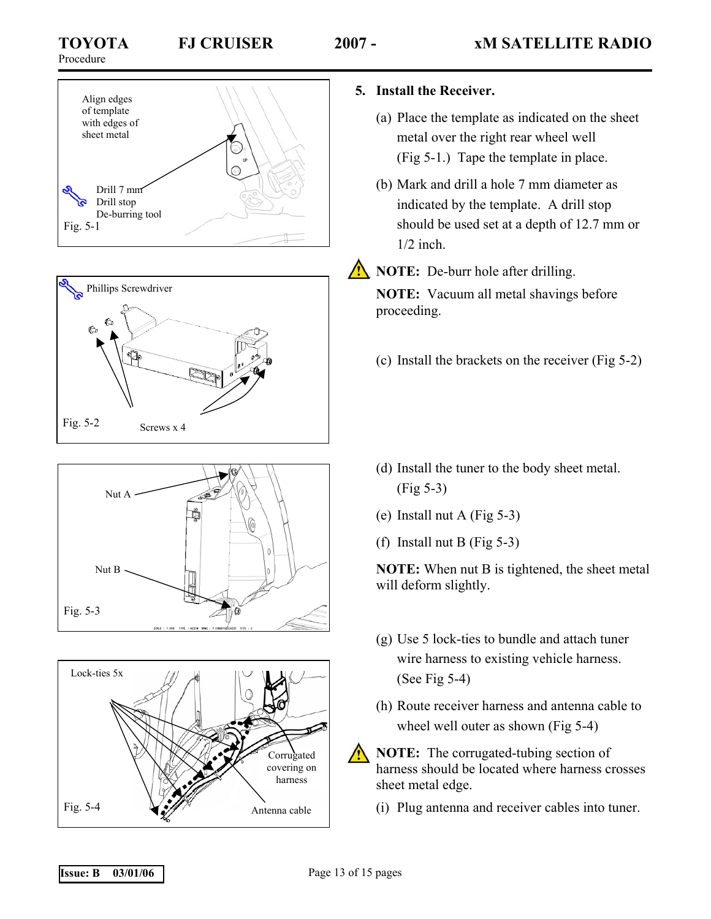







# **5. Install the Receiver.**

- (a) Place the template as indicated on the sheet metal over the right rear wheel well (Fig 5-1.) Tape the template in place.
- (b) Mark and drill a hole 7 mm diameter as indicated by the template. A drill stop should be used set at a depth of 12.7 mm or 1/2 inch.

**NOTE:** De-burr hole after drilling.

**NOTE:** Vacuum all metal shavings before proceeding.

(c) Install the brackets on the receiver (Fig 5-2)

- (d) Install the tuner to the body sheet metal. (Fig 5-3)
- (e) Install nut A (Fig 5-3)
- (f) Install nut B (Fig  $5-3$ )

**NOTE:** When nut B is tightened, the sheet metal will deform slightly.

- (g) Use 5 lock-ties to bundle and attach tuner wire harness to existing vehicle harness. (See Fig 5-4)
- (h) Route receiver harness and antenna cable to wheel well outer as shown (Fig 5-4)

**NOTE:** The corrugated-tubing section of harness should be located where harness crosses sheet metal edge.

(i) Plug antenna and receiver cables into tuner.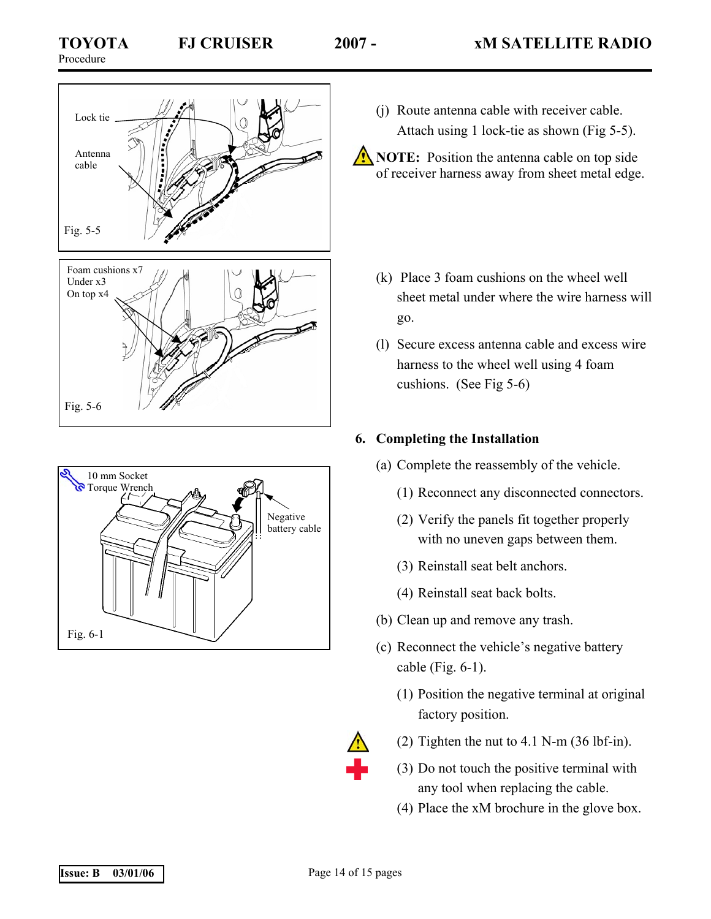





- (j) Route antenna cable with receiver cable. Attach using 1 lock-tie as shown (Fig 5-5).
- **NOTE:** Position the antenna cable on top side of receiver harness away from sheet metal edge.
	- (k) Place 3 foam cushions on the wheel well sheet metal under where the wire harness will go.
	- (l) Secure excess antenna cable and excess wire harness to the wheel well using 4 foam cushions. (See Fig 5-6)

# **6. Completing the Installation**

- (a) Complete the reassembly of the vehicle.
	- (1) Reconnect any disconnected connectors.
	- (2) Verify the panels fit together properly with no uneven gaps between them.
	- (3) Reinstall seat belt anchors.
	- (4) Reinstall seat back bolts.
- (b) Clean up and remove any trash.
- (c) Reconnect the vehicle's negative battery cable (Fig. 6-1).
	- (1) Position the negative terminal at original factory position.



- (2) Tighten the nut to 4.1 N-m (36 lbf-in).
- (3) Do not touch the positive terminal with any tool when replacing the cable.
- (4) Place the xM brochure in the glove box.

**Issue: B** 03/01/06 **Page 14 of 15 pages**